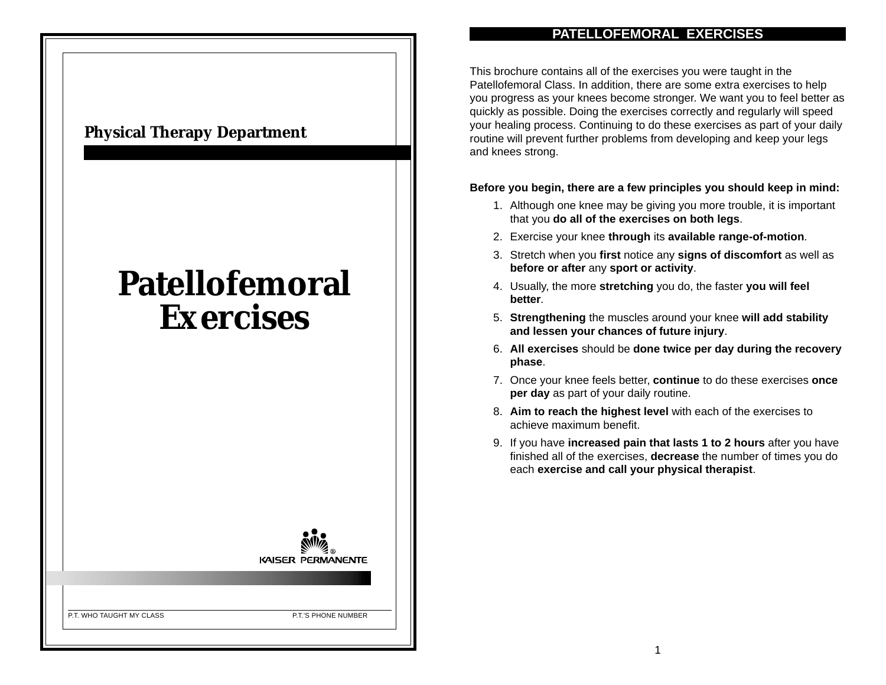# **PATELLOFEMORAL EXERCISES**

This brochure contains all of the exercises you were taught in the Patellofemoral Class. In addition, there are some extra exercises to help you progress as your knees become stronger. We want you to feel better as quickly as possible. Doing the exercises correctly and regularly will speed your healing process. Continuing to do these exercises as part of your daily routine will prevent further problems from developing and keep your legs and knees strong.

**Before you begin, there are a few principles you should keep in mind:**

- 1. Although one knee may be giving you more trouble, it is important that you **do all of the exercises on both legs**.
- 2. Exercise your knee **through** its **available range-of-motion**.
- 3. Stretch when you **first** notice any **signs of discomfort** as well as **before or after** any **sport or activity**.
- 4. Usually, the more **stretching** you do, the faster **you will feel better**.
- 5. **Strengthening** the muscles around your knee **will add stability and lessen your chances of future injury**.
- 6. **All exercises** should be **done twice per day during the recovery phase**.
- 7. Once your knee feels better, **continue** to do these exercises **once per day** as part of your daily routine.
- 8. **Aim to reach the highest level** with each of the exercises to achieve maximum benefit.
- 9. If you have **increased pain that lasts 1 to 2 hours** after you have finished all of the exercises, **decrease** the number of times you do each **exercise and call your physical therapist**.

# **Physical Therapy Department**

# **Patellofemoral Exercises**



P.T. WHO TAUGHT MY CLASS **P.T. ISSUES AND TAUGHT MY CLASS**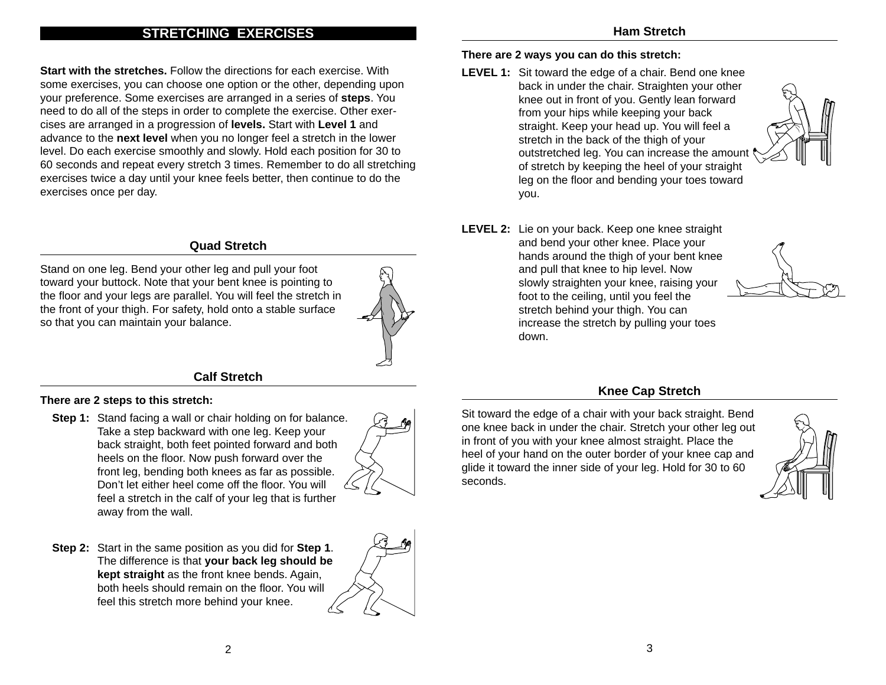# **STRETCHING EXERCISES**

**Start with the stretches.** Follow the directions for each exercise. With some exercises, you can choose one option or the other, depending upon your preference. Some exercises are arranged in a series of **steps**. You need to do all of the steps in order to complete the exercise. Other exercises are arranged in a progression of **levels.** Start with **Level 1** and advance to the **next level** when you no longer feel a stretch in the lower level. Do each exercise smoothly and slowly. Hold each position for 30 to 60 seconds and repeat every stretch 3 times. Remember to do all stretching exercises twice a day until your knee feels better, then continue to do the exercises once per day.

### **Quad Stretch**

Stand on one leg. Bend your other leg and pull your foot toward your buttock. Note that your bent knee is pointing to the floor and your legs are parallel. You will feel the stretch in the front of your thigh. For safety, hold onto a stable surface so that you can maintain your balance.

# **Calf Stretch**

### **There are 2 steps to this stretch:**

**Step 1:** Stand facing a wall or chair holding on for balance. Take a step backward with one leg. Keep your back straight, both feet pointed forward and both heels on the floor. Now push forward over the front leg, bending both knees as far as possible. Don't let either heel come off the floor. You will feel a stretch in the calf of your leg that is further away from the wall.



**Step 2:** Start in the same position as you did for **Step 1**. The difference is that **your back leg should be kept straight** as the front knee bends. Again, both heels should remain on the floor. You will feel this stretch more behind your knee.



### **Ham Stretch**

### **There are 2 ways you can do this stretch:**

- **LEVEL 1:** Sit toward the edge of a chair. Bend one knee back in under the chair. Straighten your other knee out in front of you. Gently lean forward from your hips while keeping your back straight. Keep your head up. You will feel a stretch in the back of the thigh of your outstretched leg. You can increase the amount of stretch by keeping the heel of your straight leg on the floor and bending your toes toward you.
- **LEVEL 2:** Lie on your back. Keep one knee straight and bend your other knee. Place your hands around the thigh of your bent knee and pull that knee to hip level. Now slowly straighten your knee, raising your foot to the ceiling, until you feel the stretch behind your thigh. You can increase the stretch by pulling your toes down.



# **Knee Cap Stretch**

Sit toward the edge of a chair with your back straight. Bend one knee back in under the chair. Stretch your other leg out in front of you with your knee almost straight. Place the heel of your hand on the outer border of your knee cap and glide it toward the inner side of your leg. Hold for 30 to 60 seconds.

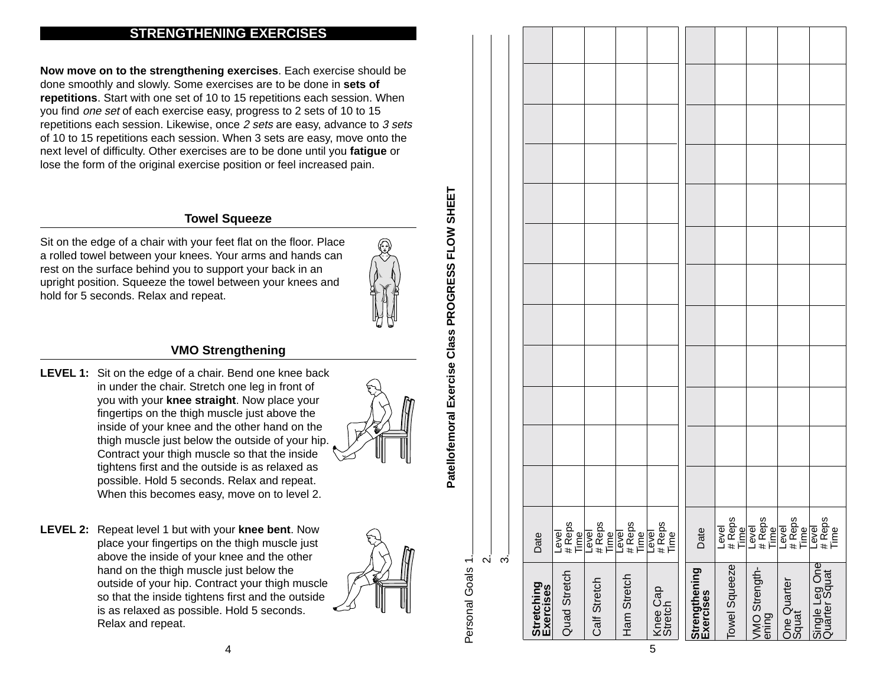# **STRENGTHENING EXERCISES**

**Now move on to the strengthening exercises**. Each exercise should be done smoothly and slowly. Some exercises are to be done in **sets of repetitions**. Start with one set of 10 to 15 repetitions each session. When you find one set of each exercise easy, progress to 2 sets of 10 to 15 repetitions each session. Likewise, once 2 sets are easy, advance to 3 sets of 10 to 15 repetitions each session. When 3 sets are easy, move onto the next level of difficulty. Other exercises are to be done until you **fatigue** or lose the form of the original exercise position or feel increased pain.

### **Towel Squeeze**

Sit on the edge of a chair with your feet flat on the floor. Place a rolled towel between your knees. Your arms and hands can rest on the surface behind you to support your back in an upright position. Squeeze the towel between your knees and hold for 5 seconds. Relax and repeat.

**Patellofemoral Exercise Class PROGRESS FLOW SHEET**

Patellofemoral Exercise Class PROGRESS FLOW SHEET

Personal Goals 1.

Personal Goals 1

# **VMO Strengthening**

**LEVEL 1:** Sit on the edge of a chair. Bend one knee back in under the chair. Stretch one leg in front of you with your **knee straight**. Now place your fingertips on the thigh muscle just above the inside of your knee and the other hand on the thigh muscle just below the outside of your hip. Contract your thigh muscle so that the inside tightens first and the outside is as relaxed as possible. Hold 5 seconds. Relax and repeat. When this becomes easy, move on to level 2.



**LEVEL 2:** Repeat level 1 but with your **knee bent**. Now place your fingertips on the thigh muscle just above the inside of your knee and the other hand on the thigh muscle just below the outside of your hip. Contract your thigh muscle so that the inside tightens first and the outside is as relaxed as possible. Hold 5 seconds. Relax and repeat.



| w<br>Level<br>#Reps<br>Time<br>Single Leg One<br>Quarter Squat |
|----------------------------------------------------------------|
|                                                                |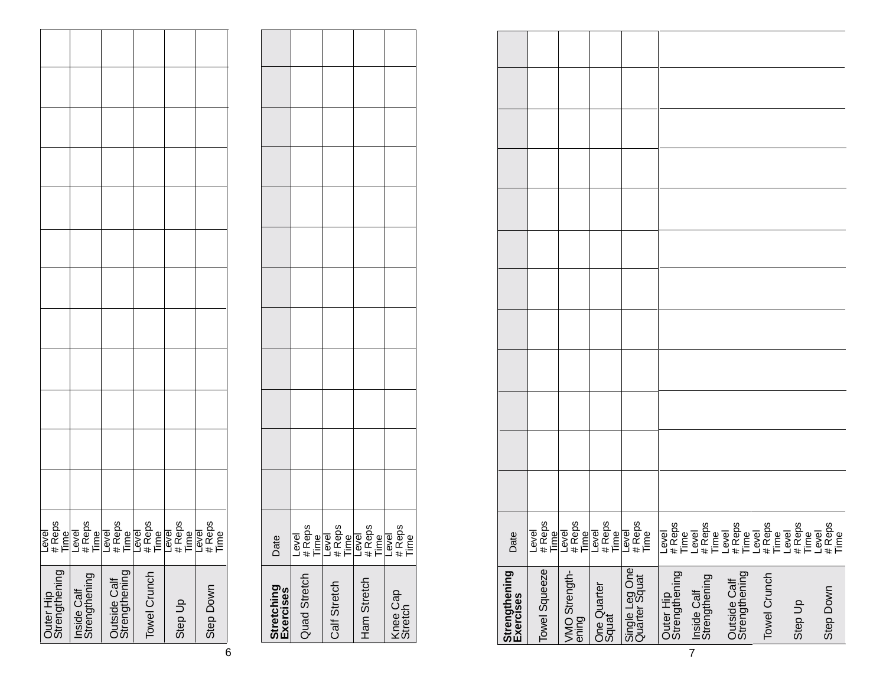| Outer Hip<br>Strengthening | Inside Calf<br>Strengthening | Outside Calf<br>Strengthening | Towel Crunch | Step Up | Step Down |
|----------------------------|------------------------------|-------------------------------|--------------|---------|-----------|

| Stretching<br>Exercises | Date                    |  |  |  |  |  |  |
|-------------------------|-------------------------|--|--|--|--|--|--|
| Quad Stretch            | Level<br># Reps<br>Time |  |  |  |  |  |  |
| Calf Stretch            | Level<br># Reps<br>Time |  |  |  |  |  |  |
| Ham Stretch             | Level<br># Reps<br>Time |  |  |  |  |  |  |
| Knee Cap<br>Stretch     | Level<br># Reps<br>Time |  |  |  |  |  |  |

|                | Strengthening<br>Exercises    | Date                         |  |  |  |  |  |  |
|----------------|-------------------------------|------------------------------|--|--|--|--|--|--|
|                | Towel Squeeze                 | # Reps<br>Level<br>Time      |  |  |  |  |  |  |
|                | VMO Strength-<br>ening        | # Reps<br>Level<br>Time      |  |  |  |  |  |  |
|                | One Quarter<br>Squat          | # Reps<br>Level<br>Time      |  |  |  |  |  |  |
|                | Single Leg One                | # Reps<br>Level<br>Time<br>T |  |  |  |  |  |  |
|                | Outer Hip<br>Strengthening    | # Reps<br>Time<br>Level      |  |  |  |  |  |  |
| $\overline{7}$ | Inside Calf<br>Strengthening  | Level<br># Reps<br>Time      |  |  |  |  |  |  |
|                | Strengthening<br>Outside Calf | # Reps<br>Time<br>Level      |  |  |  |  |  |  |
|                | <b>Towel Crunch</b>           | Level<br># Reps<br>Time      |  |  |  |  |  |  |
|                | Step Up                       | Level<br># Reps<br>Time      |  |  |  |  |  |  |
|                | Step Down                     | # Reps<br>Time<br>Level      |  |  |  |  |  |  |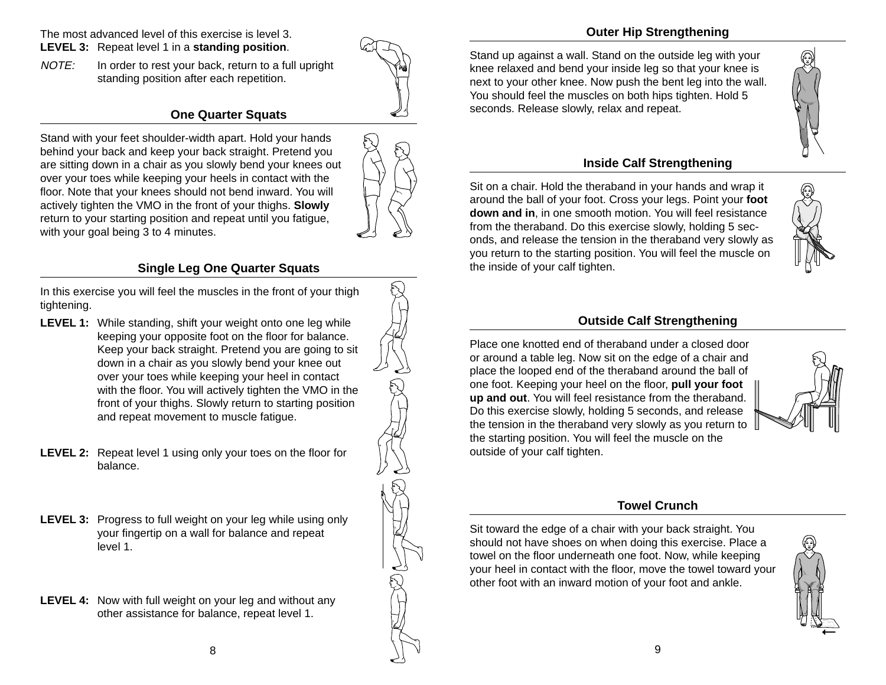The most advanced level of this exercise is level 3. **LEVEL 3:** Repeat level 1 in a **standing position**.

NOTE: In order to rest your back, return to a full upright standing position after each repetition.

### **One Quarter Squats**

Stand with your feet shoulder-width apart. Hold your hands behind your back and keep your back straight. Pretend you are sitting down in a chair as you slowly bend your knees out over your toes while keeping your heels in contact with the floor. Note that your knees should not bend inward. You will actively tighten the VMO in the front of your thighs. **Slowly** return to your starting position and repeat until you fatigue, with your goal being 3 to 4 minutes.

# **Single Leg One Quarter Squats**

In this exercise you will feel the muscles in the front of your thigh tightening.

- **LEVEL 1:** While standing, shift your weight onto one leg while keeping your opposite foot on the floor for balance. Keep your back straight. Pretend you are going to sit down in a chair as you slowly bend your knee out over your toes while keeping your heel in contact with the floor. You will actively tighten the VMO in the front of your thighs. Slowly return to starting position and repeat movement to muscle fatigue.
- **LEVEL 2:** Repeat level 1 using only your toes on the floor for balance.
- **LEVEL 3:** Progress to full weight on your leg while using only your fingertip on a wall for balance and repeat level 1.
- **LEVEL 4:** Now with full weight on your leg and without any other assistance for balance, repeat level 1.





# **Outer Hip Strengthening**

Stand up against a wall. Stand on the outside leg with your knee relaxed and bend your inside leg so that your knee is next to your other knee. Now push the bent leg into the wall. You should feel the muscles on both hips tighten. Hold 5 seconds. Release slowly, relax and repeat.



# **Inside Calf Strengthening**

Sit on a chair. Hold the theraband in your hands and wrap it around the ball of your foot. Cross your legs. Point your **foot down and in**, in one smooth motion. You will feel resistance from the theraband. Do this exercise slowly, holding 5 seconds, and release the tension in the theraband very slowly as you return to the starting position. You will feel the muscle on the inside of your calf tighten.



### **Outside Calf Strengthening**

Place one knotted end of theraband under a closed door or around a table leg. Now sit on the edge of a chair and place the looped end of the theraband around the ball of one foot. Keeping your heel on the floor, **pull your foot up and out**. You will feel resistance from the theraband. Do this exercise slowly, holding 5 seconds, and release the tension in the theraband very slowly as you return to the starting position. You will feel the muscle on the outside of your calf tighten.



# **Towel Crunch**

Sit toward the edge of a chair with your back straight. You should not have shoes on when doing this exercise. Place a towel on the floor underneath one foot. Now, while keeping your heel in contact with the floor, move the towel toward your other foot with an inward motion of your foot and ankle.



9